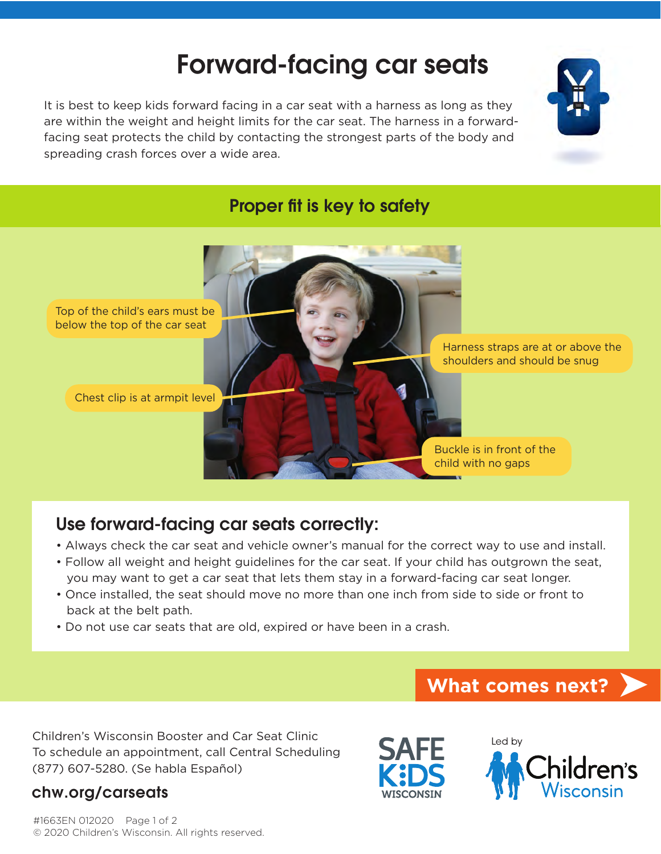# Forward-facing car seats

It is best to keep kids forward facing in a car seat with a harness as long as they are within the weight and height limits for the car seat. The harness in a forwardfacing seat protects the child by contacting the strongest parts of the body and spreading crash forces over a wide area.



### Proper fit is key to safety

Top of the child's ears must be below the top of the car seat

Chest clip is at armpit level

Harness straps are at or above the shoulders and should be snug

Buckle is in front of the child with no gaps

## Use forward-facing car seats correctly:

- Always check the car seat and vehicle owner's manual for the correct way to use and install.
- Follow all weight and height guidelines for the car seat. If your child has outgrown the seat, you may want to get a car seat that lets them stay in a forward-facing car seat longer.
- Once installed, the seat should move no more than one inch from side to side or front to back at the belt path.
- Do not use car seats that are old, expired or have been in a crash.

Children's Wisconsin Booster and Car Seat Clinic To schedule an appointment, call Central Scheduling (877) 607-5280. (Se habla Español)

#### chw.org/carseats

#1663EN 012020 Page 1 of 2 © 2020 Children's Wisconsin. All rights reserved.





**What comes next?**